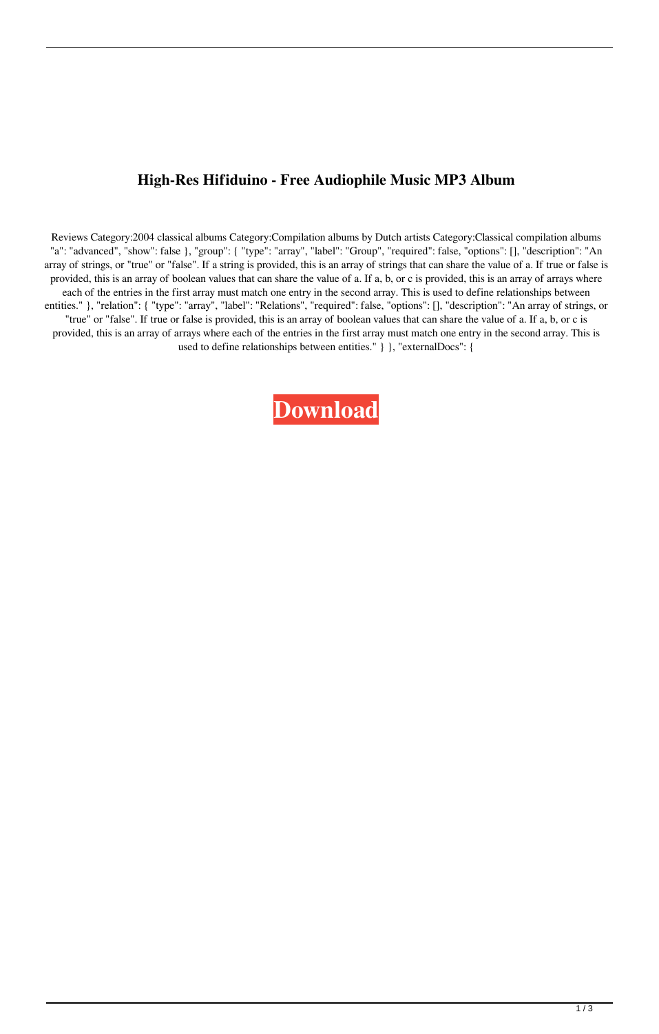## **High-Res Hifiduino - Free Audiophile Music MP3 Album**

Reviews Category:2004 classical albums Category:Compilation albums by Dutch artists Category:Classical compilation albums "a": "advanced", "show": false }, "group": { "type": "array", "label": "Group", "required": false, "options": [], "description": "An array of strings, or "true" or "false". If a string is provided, this is an array of strings that can share the value of a. If true or false is provided, this is an array of boolean values that can share the value of a. If a, b, or c is provided, this is an array of arrays where each of the entries in the first array must match one entry in the second array. This is used to define relationships between entities." }, "relation": { "type": "array", "label": "Relations", "required": false, "options": [], "description": "An array of strings, or "true" or "false". If true or false is provided, this is an array of boolean values that can share the value of a. If a, b, or c is provided, this is an array of arrays where each of the entries in the first array must match one entry in the second array. This is used to define relationships between entities." } }, "externalDocs": {

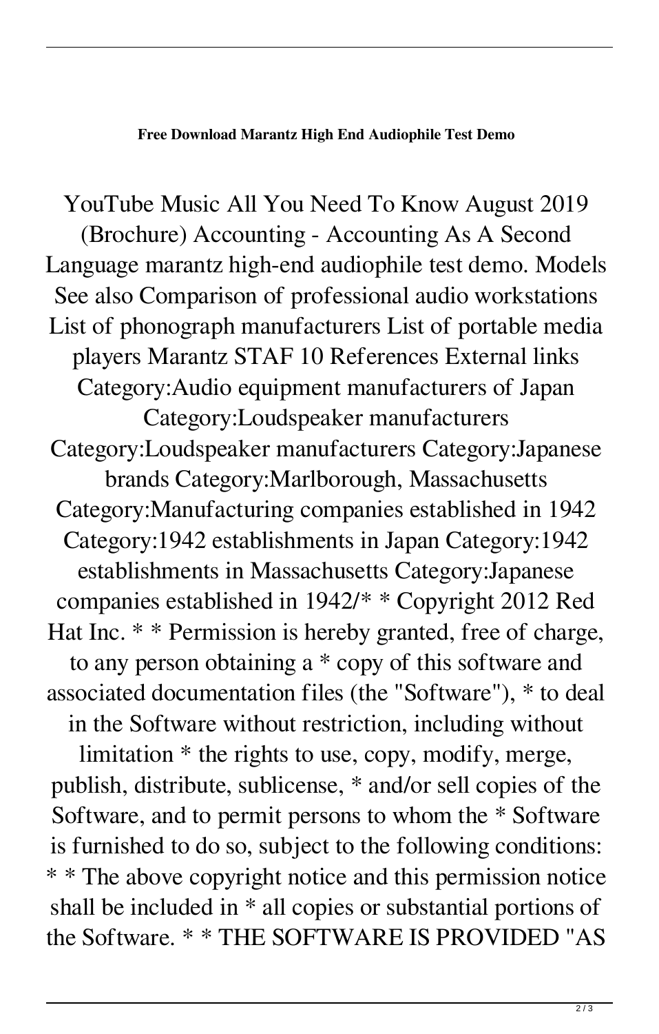## **Free Download Marantz High End Audiophile Test Demo**

YouTube Music All You Need To Know August 2019 (Brochure) Accounting - Accounting As A Second Language marantz high-end audiophile test demo. Models See also Comparison of professional audio workstations List of phonograph manufacturers List of portable media players Marantz STAF 10 References External links Category:Audio equipment manufacturers of Japan Category:Loudspeaker manufacturers Category:Loudspeaker manufacturers Category:Japanese brands Category:Marlborough, Massachusetts Category:Manufacturing companies established in 1942 Category:1942 establishments in Japan Category:1942 establishments in Massachusetts Category:Japanese companies established in 1942/\* \* Copyright 2012 Red Hat Inc. \* \* Permission is hereby granted, free of charge, to any person obtaining a \* copy of this software and associated documentation files (the "Software"), \* to deal in the Software without restriction, including without limitation \* the rights to use, copy, modify, merge, publish, distribute, sublicense, \* and/or sell copies of the Software, and to permit persons to whom the \* Software is furnished to do so, subject to the following conditions: \* \* The above copyright notice and this permission notice shall be included in \* all copies or substantial portions of the Software. \* \* THE SOFTWARE IS PROVIDED "AS